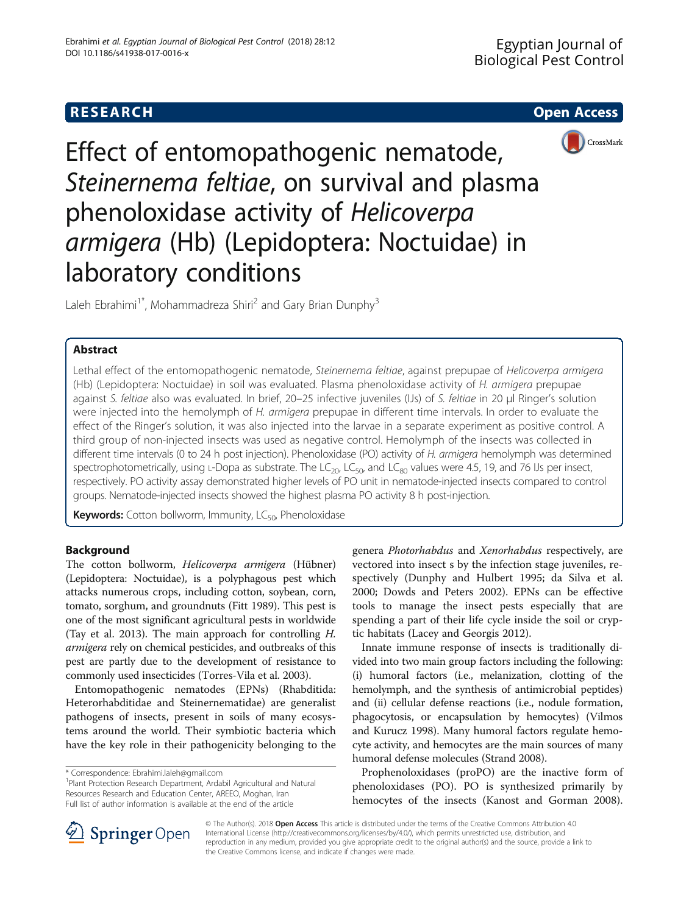# **RESEARCH CHE Open Access**



Effect of entomopathogenic nematode, Steinernema feltiae, on survival and plasma phenoloxidase activity of Helicoverpa armigera (Hb) (Lepidoptera: Noctuidae) in laboratory conditions

Laleh Ebrahimi<sup>1\*</sup>, Mohammadreza Shiri<sup>2</sup> and Gary Brian Dunphy<sup>3</sup>

# Abstract

Lethal effect of the entomopathogenic nematode, Steinernema feltiae, against prepupae of Helicoverpa armigera (Hb) (Lepidoptera: Noctuidae) in soil was evaluated. Plasma phenoloxidase activity of H. armigera prepupae against S. feltiae also was evaluated. In brief, 20–25 infective juveniles (IJs) of S. feltiae in 20 μl Ringer's solution were injected into the hemolymph of H. armigera prepupae in different time intervals. In order to evaluate the effect of the Ringer's solution, it was also injected into the larvae in a separate experiment as positive control. A third group of non-injected insects was used as negative control. Hemolymph of the insects was collected in different time intervals (0 to 24 h post injection). Phenoloxidase (PO) activity of H. armigera hemolymph was determined spectrophotometrically, using L-Dopa as substrate. The  $LC_{20}$ ,  $LC_{50}$ , and  $LC_{80}$  values were 4.5, 19, and 76 IJs per insect, respectively. PO activity assay demonstrated higher levels of PO unit in nematode-injected insects compared to control groups. Nematode-injected insects showed the highest plasma PO activity 8 h post-injection.

Keywords: Cotton bollworm, Immunity, LC<sub>50</sub>, Phenoloxidase

# Background

The cotton bollworm, Helicoverpa armigera (Hübner) (Lepidoptera: Noctuidae), is a polyphagous pest which attacks numerous crops, including cotton, soybean, corn, tomato, sorghum, and groundnuts (Fitt [1989\)](#page-3-0). This pest is one of the most significant agricultural pests in worldwide (Tay et al. [2013](#page-3-0)). The main approach for controlling H. armigera rely on chemical pesticides, and outbreaks of this pest are partly due to the development of resistance to commonly used insecticides (Torres-Vila et al. [2003\)](#page-3-0).

Entomopathogenic nematodes (EPNs) (Rhabditida: Heterorhabditidae and Steinernematidae) are generalist pathogens of insects, present in soils of many ecosystems around the world. Their symbiotic bacteria which have the key role in their pathogenicity belonging to the

<sup>1</sup> Plant Protection Research Department, Ardabil Agricultural and Natural Resources Research and Education Center, AREEO, Moghan, Iran Full list of author information is available at the end of the article

genera Photorhabdus and Xenorhabdus respectively, are vectored into insect s by the infection stage juveniles, respectively (Dunphy and Hulbert [1995;](#page-3-0) da Silva et al. [2000](#page-3-0); Dowds and Peters [2002\)](#page-3-0). EPNs can be effective tools to manage the insect pests especially that are spending a part of their life cycle inside the soil or cryptic habitats (Lacey and Georgis [2012](#page-3-0)).

Innate immune response of insects is traditionally divided into two main group factors including the following: (i) humoral factors (i.e., melanization, clotting of the hemolymph, and the synthesis of antimicrobial peptides) and (ii) cellular defense reactions (i.e., nodule formation, phagocytosis, or encapsulation by hemocytes) (Vilmos and Kurucz [1998\)](#page-3-0). Many humoral factors regulate hemocyte activity, and hemocytes are the main sources of many humoral defense molecules (Strand [2008\)](#page-3-0).

Prophenoloxidases (proPO) are the inactive form of phenoloxidases (PO). PO is synthesized primarily by hemocytes of the insects (Kanost and Gorman [2008](#page-3-0)).



© The Author(s). 2018 Open Access This article is distributed under the terms of the Creative Commons Attribution 4.0 International License ([http://creativecommons.org/licenses/by/4.0/\)](http://creativecommons.org/licenses/by/4.0/), which permits unrestricted use, distribution, and reproduction in any medium, provided you give appropriate credit to the original author(s) and the source, provide a link to the Creative Commons license, and indicate if changes were made.

<sup>\*</sup> Correspondence: [Ebrahimi.laleh@gmail.com](mailto:Ebrahimi.laleh@gmail.com) <sup>1</sup>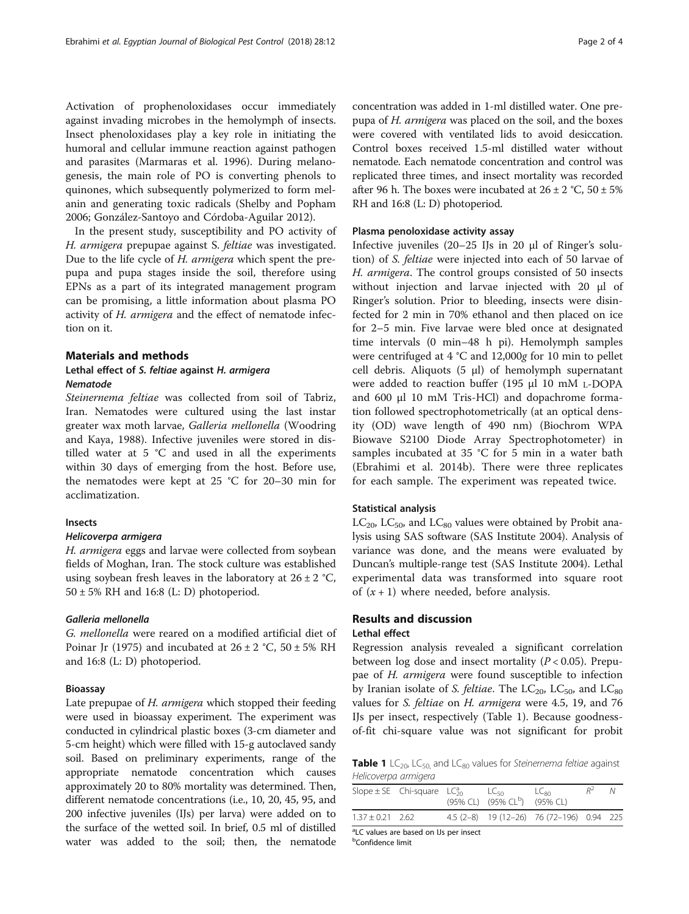Activation of prophenoloxidases occur immediately against invading microbes in the hemolymph of insects. Insect phenoloxidases play a key role in initiating the humoral and cellular immune reaction against pathogen and parasites (Marmaras et al. [1996\)](#page-3-0). During melanogenesis, the main role of PO is converting phenols to quinones, which subsequently polymerized to form melanin and generating toxic radicals (Shelby and Popham [2006](#page-3-0); González-Santoyo and Córdoba-Aguilar [2012\)](#page-3-0).

In the present study, susceptibility and PO activity of H. armigera prepupae against S. feltiae was investigated. Due to the life cycle of H. armigera which spent the prepupa and pupa stages inside the soil, therefore using EPNs as a part of its integrated management program can be promising, a little information about plasma PO activity of H. armigera and the effect of nematode infection on it.

#### Materials and methods

# Lethal effect of S. feltiae against H. armigera Nematode

Steinernema feltiae was collected from soil of Tabriz, Iran. Nematodes were cultured using the last instar greater wax moth larvae, Galleria mellonella (Woodring and Kaya, [1988\)](#page-3-0). Infective juveniles were stored in distilled water at 5 °C and used in all the experiments within 30 days of emerging from the host. Before use, the nematodes were kept at 25 °C for 20–30 min for acclimatization.

### Insects

### Helicoverpa armigera

H. armigera eggs and larvae were collected from soybean fields of Moghan, Iran. The stock culture was established using soybean fresh leaves in the laboratory at  $26 \pm 2$  °C, 50 ± 5% RH and 16:8 (L: D) photoperiod.

### Galleria mellonella

G. mellonella were reared on a modified artificial diet of Poinar Jr [\(1975\)](#page-3-0) and incubated at  $26 \pm 2$  °C,  $50 \pm 5$ % RH and 16:8 (L: D) photoperiod.

#### Bioassay

Late prepupae of *H. armigera* which stopped their feeding were used in bioassay experiment. The experiment was conducted in cylindrical plastic boxes (3-cm diameter and 5-cm height) which were filled with 15-g autoclaved sandy soil. Based on preliminary experiments, range of the appropriate nematode concentration which causes approximately 20 to 80% mortality was determined. Then, different nematode concentrations (i.e., 10, 20, 45, 95, and 200 infective juveniles (IJs) per larva) were added on to the surface of the wetted soil. In brief, 0.5 ml of distilled water was added to the soil; then, the nematode concentration was added in 1-ml distilled water. One prepupa of H. armigera was placed on the soil, and the boxes were covered with ventilated lids to avoid desiccation. Control boxes received 1.5-ml distilled water without nematode. Each nematode concentration and control was replicated three times, and insect mortality was recorded after 96 h. The boxes were incubated at  $26 \pm 2$  °C,  $50 \pm 5$ % RH and 16:8 (L: D) photoperiod.

## Plasma penoloxidase activity assay

Infective juveniles (20–25 IJs in 20 μl of Ringer's solution) of S. feltiae were injected into each of 50 larvae of H. armigera. The control groups consisted of 50 insects without injection and larvae injected with 20 μl of Ringer's solution. Prior to bleeding, insects were disinfected for 2 min in 70% ethanol and then placed on ice for 2–5 min. Five larvae were bled once at designated time intervals (0 min–48 h pi). Hemolymph samples were centrifuged at 4 °C and 12,000g for 10 min to pellet cell debris. Aliquots (5 μl) of hemolymph supernatant were added to reaction buffer (195 μl 10 mM L-DOPA and 600 μl 10 mM Tris-HCl) and dopachrome formation followed spectrophotometrically (at an optical density (OD) wave length of 490 nm) (Biochrom WPA Biowave S2100 Diode Array Spectrophotometer) in samples incubated at 35 °C for 5 min in a water bath (Ebrahimi et al. [2014b](#page-3-0)). There were three replicates for each sample. The experiment was repeated twice.

#### Statistical analysis

 $LC_{20}$ ,  $LC_{50}$ , and  $LC_{80}$  values were obtained by Probit analysis using SAS software (SAS Institute [2004\)](#page-3-0). Analysis of variance was done, and the means were evaluated by Duncan's multiple-range test (SAS Institute [2004\)](#page-3-0). Lethal experimental data was transformed into square root of  $(x + 1)$  where needed, before analysis.

# Results and discussion Lethal effect

Regression analysis revealed a significant correlation between log dose and insect mortality ( $P < 0.05$ ). Prepupae of H. armigera were found susceptible to infection by Iranian isolate of S. feltiae. The  $LC_{20}$ ,  $LC_{50}$ , and  $LC_{80}$ values for *S. feltiae* on *H. armigera* were 4.5, 19, and 76 IJs per insect, respectively (Table 1). Because goodnessof-fit chi-square value was not significant for probit

**Table 1** LC<sub>20</sub>, LC<sub>50</sub>, and LC<sub>80</sub> values for Steinernema feltiae against Helicoverpa armigera

|                      | Slope $\pm$ SE Chi-square LC <sub>20</sub> LC <sub>50</sub> | $(95\%$ CL) $(95\%$ CL <sup>b</sup> ) $(95\%$ CL) | $LC_{80}$                                 |  |
|----------------------|-------------------------------------------------------------|---------------------------------------------------|-------------------------------------------|--|
| $1.37 \pm 0.21$ 2.62 |                                                             |                                                   | 4.5 (2-8) 19 (12-26) 76 (72-196) 0.94 225 |  |

<sup>a</sup>LC values are based on IJs per insect

**b**Confidence limit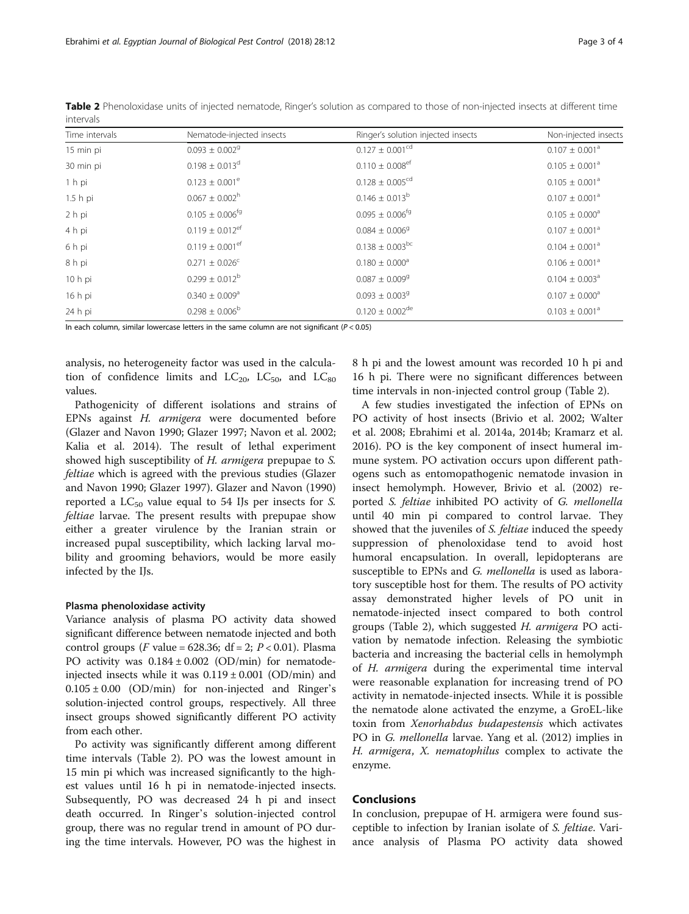| 11 I LL I V UI J |                                 |                                    |                                |  |  |  |
|------------------|---------------------------------|------------------------------------|--------------------------------|--|--|--|
| Time intervals   | Nematode-injected insects       | Ringer's solution injected insects | Non-injected insects           |  |  |  |
| 15 min pi        | $0.093 \pm 0.002$ <sup>9</sup>  | $0.127 \pm 0.001^{cd}$             | $0.107 \pm 0.001^a$            |  |  |  |
| 30 min pi        | $0.198 \pm 0.013$ <sup>d</sup>  | $0.110 \pm 0.008$ <sup>ef</sup>    | $0.105 \pm 0.001^a$            |  |  |  |
| 1 h pi           | $0.123 \pm 0.001^e$             | $0.128 \pm 0.005^{cd}$             | $0.105 \pm 0.001^a$            |  |  |  |
| 1.5 hpi          | $0.067 \pm 0.002$ <sup>h</sup>  | $0.146 \pm 0.013^b$                | $0.107 \pm 0.001^a$            |  |  |  |
| 2 h pi           | $0.105 \pm 0.006$ <sup>fg</sup> | $0.095 \pm 0.006^{fg}$             | $0.105 \pm 0.000$ <sup>a</sup> |  |  |  |
| 4 h pi           | $0.119 \pm 0.012$ <sup>ef</sup> | $0.084 \pm 0.006$ <sup>9</sup>     | $0.107 \pm 0.001^a$            |  |  |  |
| 6 h pi           | $0.119 \pm 0.001$ <sup>ef</sup> | $0.138 \pm 0.003$ <sup>bc</sup>    | $0.104 \pm 0.001^a$            |  |  |  |
| 8 h pi           | $0.271 \pm 0.026$ <sup>c</sup>  | $0.180 \pm 0.000$ <sup>a</sup>     | $0.106 \pm 0.001^a$            |  |  |  |
| 10 h pi          | $0.299 \pm 0.012^b$             | $0.087 \pm 0.009^9$                | $0.104 \pm 0.003^{\circ}$      |  |  |  |
| 16 h pi          | $0.340 \pm 0.009$ <sup>a</sup>  | $0.093 \pm 0.0039$                 | $0.107 \pm 0.000$ <sup>a</sup> |  |  |  |
| 24 h pi          | $0.298 \pm 0.006^b$             | $0.120 \pm 0.002$ <sup>de</sup>    | $0.103 \pm 0.001^a$            |  |  |  |
|                  |                                 |                                    |                                |  |  |  |

Table 2 Phenoloxidase units of injected nematode, Ringer's solution as compared to those of non-injected insects at different time intervals

In each column, similar lowercase letters in the same column are not significant ( $P < 0.05$ )

analysis, no heterogeneity factor was used in the calculation of confidence limits and  $LC_{20}$ ,  $LC_{50}$ , and  $LC_{80}$ values.

Pathogenicity of different isolations and strains of EPNs against H. armigera were documented before (Glazer and Navon [1990;](#page-3-0) Glazer [1997](#page-3-0); Navon et al. [2002](#page-3-0); Kalia et al. [2014](#page-3-0)). The result of lethal experiment showed high susceptibility of H. armigera prepupae to S. feltiae which is agreed with the previous studies (Glazer and Navon [1990](#page-3-0); Glazer [1997\)](#page-3-0). Glazer and Navon ([1990](#page-3-0)) reported a  $LC_{50}$  value equal to 54 IJs per insects for S. feltiae larvae. The present results with prepupae show either a greater virulence by the Iranian strain or increased pupal susceptibility, which lacking larval mobility and grooming behaviors, would be more easily infected by the IJs.

#### Plasma phenoloxidase activity

Variance analysis of plasma PO activity data showed significant difference between nematode injected and both control groups (*F* value = 628.36;  $df = 2$ ;  $P < 0.01$ ). Plasma PO activity was  $0.184 \pm 0.002$  (OD/min) for nematodeinjected insects while it was  $0.119 \pm 0.001$  (OD/min) and  $0.105 \pm 0.00$  (OD/min) for non-injected and Ringer's solution-injected control groups, respectively. All three insect groups showed significantly different PO activity from each other.

Po activity was significantly different among different time intervals (Table 2). PO was the lowest amount in 15 min pi which was increased significantly to the highest values until 16 h pi in nematode-injected insects. Subsequently, PO was decreased 24 h pi and insect death occurred. In Ringer's solution-injected control group, there was no regular trend in amount of PO during the time intervals. However, PO was the highest in 8 h pi and the lowest amount was recorded 10 h pi and 16 h pi. There were no significant differences between time intervals in non-injected control group (Table 2).

A few studies investigated the infection of EPNs on PO activity of host insects (Brivio et al. [2002](#page-3-0); Walter et al. [2008](#page-3-0); Ebrahimi et al. [2014a](#page-3-0), [2014b;](#page-3-0) Kramarz et al. [2016](#page-3-0)). PO is the key component of insect humeral immune system. PO activation occurs upon different pathogens such as entomopathogenic nematode invasion in insect hemolymph. However, Brivio et al. [\(2002\)](#page-3-0) reported S. feltiae inhibited PO activity of G. mellonella until 40 min pi compared to control larvae. They showed that the juveniles of S. feltiae induced the speedy suppression of phenoloxidase tend to avoid host humoral encapsulation. In overall, lepidopterans are susceptible to EPNs and G. mellonella is used as laboratory susceptible host for them. The results of PO activity assay demonstrated higher levels of PO unit in nematode-injected insect compared to both control groups (Table 2), which suggested H. armigera PO activation by nematode infection. Releasing the symbiotic bacteria and increasing the bacterial cells in hemolymph of H. armigera during the experimental time interval were reasonable explanation for increasing trend of PO activity in nematode-injected insects. While it is possible the nematode alone activated the enzyme, a GroEL-like toxin from Xenorhabdus budapestensis which activates PO in G. mellonella larvae. Yang et al. ([2012](#page-3-0)) implies in H. armigera, X. nematophilus complex to activate the enzyme.

### Conclusions

In conclusion, prepupae of H. armigera were found susceptible to infection by Iranian isolate of S. feltiae. Variance analysis of Plasma PO activity data showed